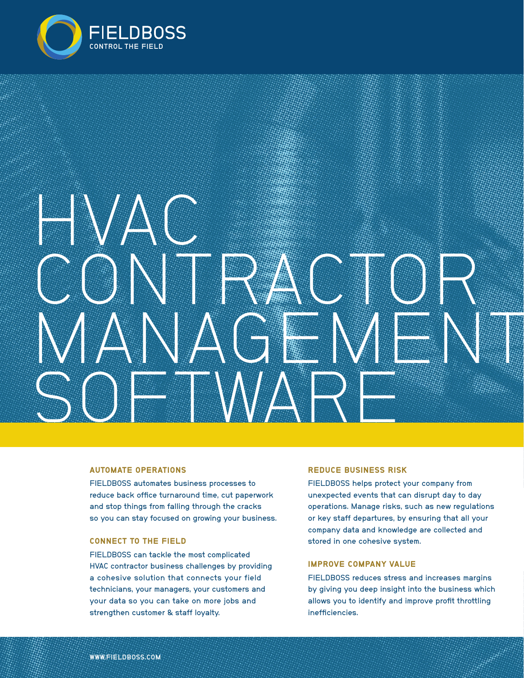

# HAVAN AND THE STREET **CONTRACTOR** MANAGEMENT SOFTWARE

#### AUTOMATE OPERATIONS

FIELDBOSS automates business processes to reduce back office turnaround time, cut paperwork and stop things from falling through the cracks so you can stay focused on growing your business.

## CONNECT TO THE FIELD

FIELDBOSS can tackle the most complicated HVAC contractor business challenges by providing a cohesive solution that connects your field technicians, your managers, your customers and your data so you can take on more jobs and strengthen customer & staff loyalty.

#### REDUCE BUSINESS RISK

FIELDBOSS helps protect your company from unexpected events that can disrupt day to day operations. Manage risks, such as new regulations or key staff departures, by ensuring that all your company data and knowledge are collected and stored in one cohesive system.

## IMPROVE COMPANY VALUE

FIELDBOSS reduces stress and increases margins by giving you deep insight into the business which allows you to identify and improve profit throttling inefficiencies.